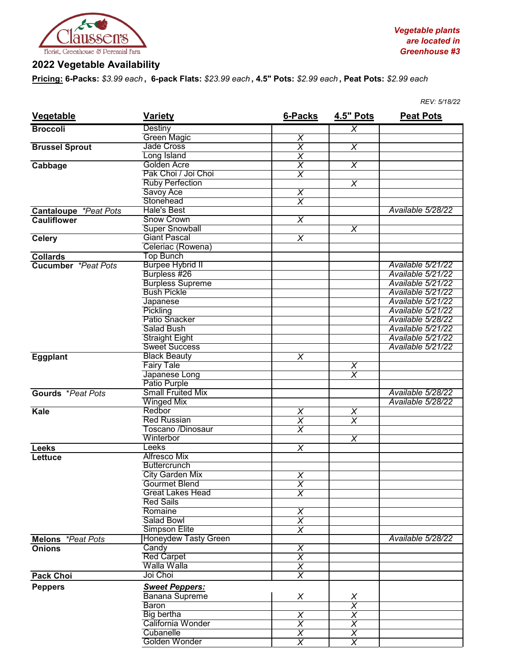

## **2022 Vegetable Availability**

**Pricing: 6-Packs:** *\$3.99 each* **, 6-pack Flats:** *\$23.99 each* **, 4.5" Pots:** *\$2.99 each* **, Peat Pots:** *\$2.99 each*

| <b>Vegetable</b>             | <b>Variety</b>              | 6-Packs                 | <b>4.5" Pots</b>                    | <b>Peat Pots</b>  |
|------------------------------|-----------------------------|-------------------------|-------------------------------------|-------------------|
| <b>Broccoli</b>              | Destiny                     |                         | $\overline{\chi}$                   |                   |
|                              | <b>Green Magic</b>          | $\overline{\chi}$       |                                     |                   |
| <b>Brussel Sprout</b>        | <b>Jade Cross</b>           | $\overline{\chi}$       | $\overline{\chi}$                   |                   |
|                              | Long Island                 | $\overline{\chi}$       |                                     |                   |
| Cabbage                      | Golden Acre                 | $\overline{\chi}$       | $\overline{\chi}$                   |                   |
|                              | Pak Choi / Joi Choi         | $\overline{\mathsf{x}}$ |                                     |                   |
|                              | <b>Ruby Perfection</b>      |                         | $\overline{\chi}$                   |                   |
|                              | Savoy Ace                   | $\pmb{\times}$          |                                     |                   |
|                              | Stonehead                   | $\overline{\chi}$       |                                     |                   |
| <b>Cantaloupe *Peat Pots</b> | <b>Hale's Best</b>          |                         |                                     | Available 5/28/22 |
| <b>Cauliflower</b>           | <b>Snow Crown</b>           | $\overline{\mathsf{x}}$ |                                     |                   |
|                              | <b>Super Snowball</b>       |                         | $\overline{\mathsf{x}}$             |                   |
| <b>Celery</b>                | <b>Giant Pascal</b>         | $\overline{\chi}$       |                                     |                   |
|                              | Celeriac (Rowena)           |                         |                                     |                   |
| <b>Collards</b>              | <b>Top Bunch</b>            |                         |                                     |                   |
| <b>Cucumber</b> *Peat Pots   | <b>Burpee Hybrid II</b>     |                         |                                     | Available 5/21/22 |
|                              | Burpless #26                |                         |                                     | Available 5/21/22 |
|                              | <b>Burpless Supreme</b>     |                         |                                     | Available 5/21/22 |
|                              | <b>Bush Pickle</b>          |                         |                                     | Available 5/21/22 |
|                              | Japanese                    |                         |                                     | Available 5/21/22 |
|                              | Pickling                    |                         |                                     | Available 5/21/22 |
|                              | Patio Snacker               |                         |                                     | Available 5/28/22 |
|                              | <b>Salad Bush</b>           |                         |                                     | Available 5/21/22 |
|                              | <b>Straight Eight</b>       |                         |                                     | Available 5/21/22 |
|                              | <b>Sweet Success</b>        |                         |                                     | Available 5/21/22 |
| <b>Eggplant</b>              | <b>Black Beauty</b>         | $\overline{\mathsf{x}}$ |                                     |                   |
|                              | <b>Fairy Tale</b>           |                         |                                     |                   |
|                              | Japanese Long               |                         | $\frac{\overline{x}}{\overline{x}}$ |                   |
|                              | Patio Purple                |                         |                                     |                   |
| Gourds *Peat Pots            | <b>Small Fruited Mix</b>    |                         |                                     | Available 5/28/22 |
|                              | <b>Winged Mix</b>           |                         |                                     | Available 5/28/22 |
| Kale                         | Redbor                      | $\overline{\chi}$       | $\overline{X}$                      |                   |
|                              | <b>Red Russian</b>          | $\overline{\chi}$       | $\overline{\chi}$                   |                   |
|                              | <b>Toscano /Dinosaur</b>    | $\overline{\chi}$       |                                     |                   |
|                              | Winterbor                   |                         | $\overline{\chi}$                   |                   |
| <b>Leeks</b>                 | Leeks                       | $\overline{\mathsf{x}}$ |                                     |                   |
|                              | Alfresco Mix                |                         |                                     |                   |
| Lettuce                      | <b>Buttercrunch</b>         |                         |                                     |                   |
|                              | <b>City Garden Mix</b>      | $\overline{\chi}$       |                                     |                   |
|                              | <b>Gourmet Blend</b>        |                         |                                     |                   |
|                              | <b>Great Lakes Head</b>     | X<br>$\overline{\chi}$  |                                     |                   |
|                              | <b>Red Sails</b>            |                         |                                     |                   |
|                              | Romaine                     | $\overline{\chi}$       |                                     |                   |
|                              | Salad Bowl                  | $\overline{\chi}$       |                                     |                   |
|                              | Simpson Elite               | $\overline{\sf x}$      |                                     |                   |
| Melons *Peat Pots            | <b>Honeydew Tasty Green</b> |                         |                                     | Available 5/28/22 |
| <b>Onions</b>                | Candy                       | $\overline{\mathsf{x}}$ |                                     |                   |
|                              | <b>Red Carpet</b>           | $\overline{\chi}$       |                                     |                   |
|                              | Walla Walla                 | $\overline{\chi}$       |                                     |                   |
| <b>Pack Choi</b>             | Joi Choi                    | $\overline{\chi}$       |                                     |                   |
|                              |                             |                         |                                     |                   |
| <b>Peppers</b>               | <b>Sweet Peppers:</b>       |                         |                                     |                   |
|                              | <b>Banana Supreme</b>       | X                       | $\frac{X}{X}$                       |                   |
|                              | <b>Baron</b>                |                         |                                     |                   |
|                              | <b>Big bertha</b>           | $\overline{\mathsf{x}}$ | $\overline{\chi}$                   |                   |
|                              | California Wonder           | $\overline{\chi}$       | $\overline{\mathsf{x}}$             |                   |
|                              | Cubanelle                   | X                       | $\chi$                              |                   |
|                              | Golden Wonder               | $\overline{\chi}$       | $\overline{\chi}$                   |                   |

*REV: 5/18/22*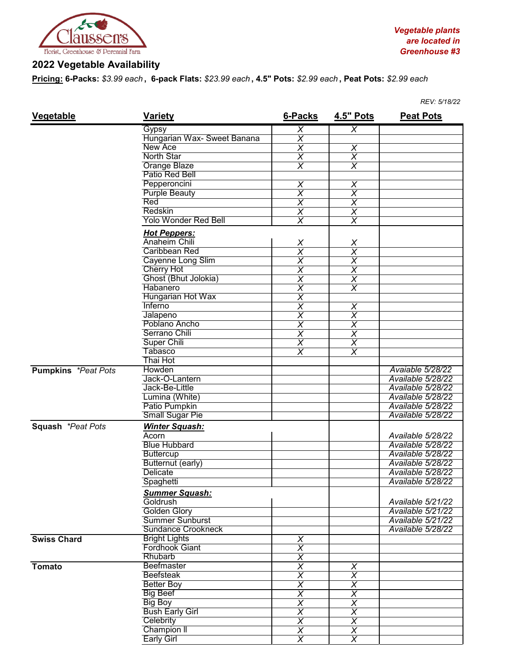

## **2022 Vegetable Availability**

**Pricing: 6-Packs:** *\$3.99 each* **, 6-pack Flats:** *\$23.99 each* **, 4.5" Pots:** *\$2.99 each* **, Peat Pots:** *\$2.99 each*

|                            |                             |                         |                           | REV: 5/18/22      |
|----------------------------|-----------------------------|-------------------------|---------------------------|-------------------|
| <b>Vegetable</b>           | <b>Variety</b>              | 6-Packs                 | <b>4.5" Pots</b>          | <b>Peat Pots</b>  |
|                            | Gypsy                       | X                       | X                         |                   |
|                            | Hungarian Wax- Sweet Banana | $\overline{\sf x}$      |                           |                   |
|                            | New Ace                     | $\overline{\mathsf{x}}$ | X                         |                   |
|                            | <b>North Star</b>           | $\overline{\mathsf{x}}$ | $\overline{\chi}$         |                   |
|                            | <b>Orange Blaze</b>         | $\overline{\sf x}$      | $\overline{\chi}$         |                   |
|                            | Patio Red Bell              |                         |                           |                   |
|                            | Pepperoncini                | $\overline{\mathsf{x}}$ | X                         |                   |
|                            | <b>Purple Beauty</b>        | $\overline{\chi}$       | $\overline{\chi}$         |                   |
|                            | Red                         | $\overline{\chi}$       | $\overline{X}$            |                   |
|                            | Redskin                     | $\overline{\chi}$       | $\overline{\chi}$         |                   |
|                            | <b>Yolo Wonder Red Bell</b> | $\overline{\chi}$       | $\overline{X}$            |                   |
|                            | <b>Hot Peppers:</b>         |                         |                           |                   |
|                            | Anaheim Chili               |                         |                           |                   |
|                            | <b>Caribbean Red</b>        | $\frac{X}{X}$           | $\frac{X}{X}$             |                   |
|                            | Cayenne Long Slim           | $\overline{\chi}$       | $\overline{\mathsf{X}}$   |                   |
|                            | <b>Cherry Hot</b>           | $\overline{\chi}$       |                           |                   |
|                            | Ghost (Bhut Jolokia)        |                         | $\overline{\mathsf{x}}$   |                   |
|                            |                             | $\overline{\mathsf{x}}$ | $\overline{\mathsf{x}}$   |                   |
|                            | <b>Habanero</b>             | $\overline{\chi}$       | $\overline{\chi}$         |                   |
|                            | Hungarian Hot Wax           | $\overline{\chi}$       |                           |                   |
|                            | <b>Inferno</b>              | $\overline{\mathsf{x}}$ | X                         |                   |
|                            | Jalapeno                    | $\overline{\chi}$       | $\overline{\chi}$         |                   |
|                            | Poblano Ancho               | $\overline{\mathsf{x}}$ | $\boldsymbol{\mathsf{X}}$ |                   |
|                            | Serrano Chili               | $\overline{\chi}$       | $\overline{\chi}$         |                   |
|                            | <b>Super Chili</b>          | $\overline{\chi}$       | $\overline{X}$            |                   |
|                            | <b>Tabasco</b>              | $\overline{\sf x}$      | $\overline{\chi}$         |                   |
|                            | Thai Hot                    |                         |                           |                   |
| <b>Pumpkins</b> *Peat Pots | Howden                      |                         |                           | Avaiable 5/28/22  |
|                            | Jack-O-Lantern              |                         |                           | Available 5/28/22 |
|                            | Jack-Be-Little              |                         |                           | Available 5/28/22 |
|                            | Lumina (White)              |                         |                           | Available 5/28/22 |
|                            | Patio Pumpkin               |                         |                           | Available 5/28/22 |
|                            | <b>Small Sugar Pie</b>      |                         |                           | Available 5/28/22 |
| Squash *Peat Pots          | <b>Winter Squash:</b>       |                         |                           |                   |
|                            | Acorn                       |                         |                           | Available 5/28/22 |
|                            | <b>Blue Hubbard</b>         |                         |                           | Available 5/28/22 |
|                            | <b>Buttercup</b>            |                         |                           | Available 5/28/22 |
|                            | Butternut (early)           |                         |                           | Available 5/28/22 |
|                            | <b>Delicate</b>             |                         |                           | Available 5/28/22 |
|                            | Spaghetti                   |                         |                           | Available 5/28/22 |
|                            | <b>Summer Squash:</b>       |                         |                           |                   |
|                            | Goldrush                    |                         |                           | Available 5/21/22 |
|                            | <b>Golden Glory</b>         |                         |                           | Available 5/21/22 |
|                            | <b>Summer Sunburst</b>      |                         |                           | Available 5/21/22 |
|                            | Sundance Crookneck          |                         |                           | Available 5/28/22 |
| <b>Swiss Chard</b>         | <b>Bright Lights</b>        | $\times$                |                           |                   |
|                            | <b>Fordhook Giant</b>       | $\overline{X}$          |                           |                   |
|                            | Rhubarb                     | $\overline{\chi}$       |                           |                   |
| <b>Tomato</b>              | Beefmaster                  | $\overline{\chi}$       | $\overline{\mathsf{x}}$   |                   |
|                            | <b>Beefsteak</b>            | $\overline{\chi}$       | $\overline{\chi}$         |                   |
|                            | <b>Better Boy</b>           | $\overline{\chi}$       | $\overline{\chi}$         |                   |
|                            | <b>Big Beef</b>             | $\overline{\chi}$       | $\overline{\chi}$         |                   |
|                            | <b>Big Boy</b>              | $\overline{\chi}$       | $\overline{\chi}$         |                   |
|                            | <b>Bush Early Girl</b>      | $\overline{\chi}$       | $\overline{\chi}$         |                   |
|                            | Celebrity                   |                         | $\overline{\mathsf{x}}$   |                   |
|                            |                             | $\overline{X}$          |                           |                   |
|                            | Champion II                 | $\overline{\mathsf{x}}$ | $\overline{X}$            |                   |
|                            | <b>Early Girl</b>           | $\overline{\sf x}$      | $\overline{\chi}$         |                   |